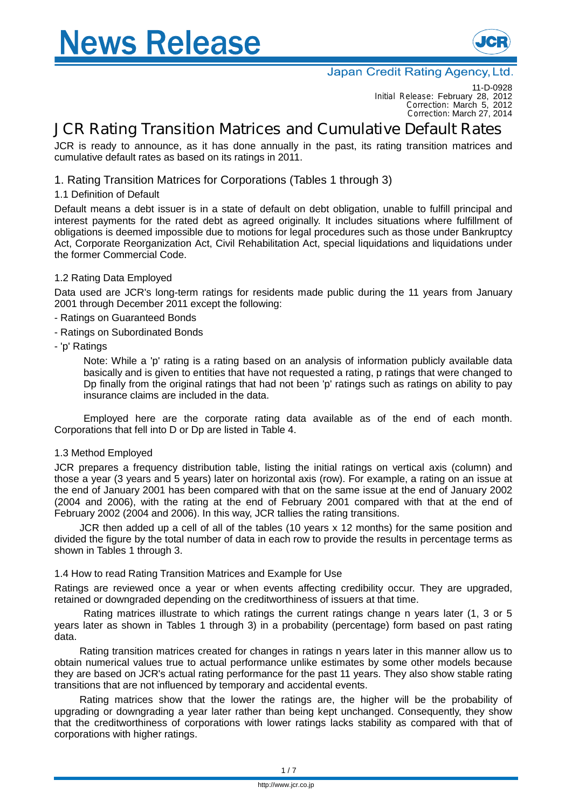# **Vews Release**



#### Japan Credit Rating Agency, Ltd.

11-D-0928 *Initial Release:* February 28, 2012 *Correction:* March 5, 2012 *Correction:* March 27, 2014

### **JCR Rating Transition Matrices and Cumulative Default Rates**

JCR is ready to announce, as it has done annually in the past, its rating transition matrices and cumulative default rates as based on its ratings in 2011.

#### 1. Rating Transition Matrices for Corporations (Tables 1 through 3)

#### 1.1 Definition of Default

Default means a debt issuer is in a state of default on debt obligation, unable to fulfill principal and interest payments for the rated debt as agreed originally. It includes situations where fulfillment of obligations is deemed impossible due to motions for legal procedures such as those under Bankruptcy Act, Corporate Reorganization Act, Civil Rehabilitation Act, special liquidations and liquidations under the former Commercial Code.

#### 1.2 Rating Data Employed

Data used are JCR's long-term ratings for residents made public during the 11 years from January 2001 through December 2011 except the following:

- Ratings on Guaranteed Bonds
- Ratings on Subordinated Bonds
- 'p' Ratings

Note: While a 'p' rating is a rating based on an analysis of information publicly available data basically and is given to entities that have not requested a rating, p ratings that were changed to Dp finally from the original ratings that had not been 'p' ratings such as ratings on ability to pay insurance claims are included in the data.

Employed here are the corporate rating data available as of the end of each month. Corporations that fell into D or Dp are listed in Table 4.

#### 1.3 Method Employed

JCR prepares a frequency distribution table, listing the initial ratings on vertical axis (column) and those a year (3 years and 5 years) later on horizontal axis (row). For example, a rating on an issue at the end of January 2001 has been compared with that on the same issue at the end of January 2002 (2004 and 2006), with the rating at the end of February 2001 compared with that at the end of February 2002 (2004 and 2006). In this way, JCR tallies the rating transitions.

JCR then added up a cell of all of the tables (10 years x 12 months) for the same position and divided the figure by the total number of data in each row to provide the results in percentage terms as shown in Tables 1 through 3.

#### 1.4 How to read Rating Transition Matrices and Example for Use

Ratings are reviewed once a year or when events affecting credibility occur. They are upgraded, retained or downgraded depending on the creditworthiness of issuers at that time.

Rating matrices illustrate to which ratings the current ratings change n years later (1, 3 or 5 years later as shown in Tables 1 through 3) in a probability (percentage) form based on past rating data.

Rating transition matrices created for changes in ratings n years later in this manner allow us to obtain numerical values true to actual performance unlike estimates by some other models because they are based on JCR's actual rating performance for the past 11 years. They also show stable rating transitions that are not influenced by temporary and accidental events.

Rating matrices show that the lower the ratings are, the higher will be the probability of upgrading or downgrading a year later rather than being kept unchanged. Consequently, they show that the creditworthiness of corporations with lower ratings lacks stability as compared with that of corporations with higher ratings.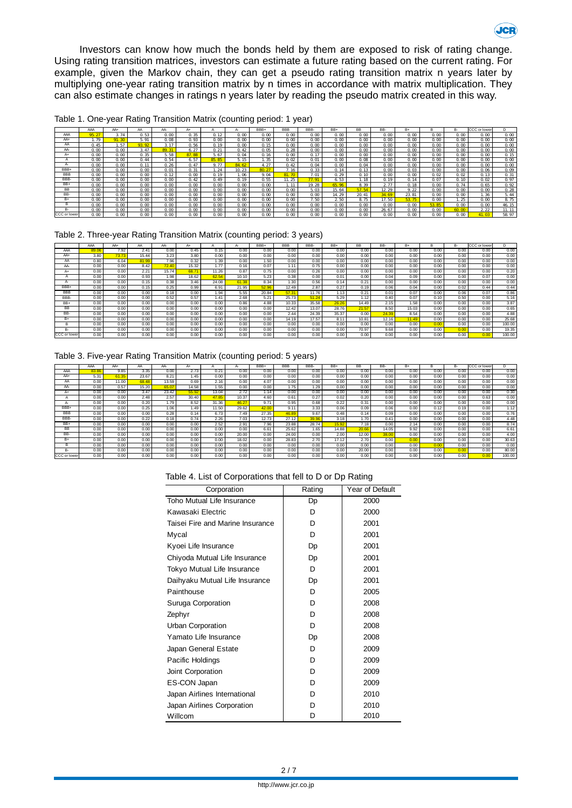Investors can know how much the bonds held by them are exposed to risk of rating change. Using rating transition matrices, investors can estimate a future rating based on the current rating. For example, given the Markov chain, they can get a pseudo rating transition matrix n years later by multiplying one-year rating transition matrix by n times in accordance with matrix multiplication. They can also estimate changes in ratings n years later by reading the pseudo matrix created in this way.

|            | AAA            | AA+            | AA             | AA-     | A+                |                | $A -$ | BBB+           | <b>BBB</b>        | BBB-            | BB+   | <b>BB</b>      | BB-            | $B+$  | в     | <b>B-</b>         | CCC or lowe | D.          |
|------------|----------------|----------------|----------------|---------|-------------------|----------------|-------|----------------|-------------------|-----------------|-------|----------------|----------------|-------|-------|-------------------|-------------|-------------|
| AAA        | 95.2           | 3.74           | 0.53           | 0.00    | 0.35              | 0.12           | 0.00  | റ ന            | 0 m               | 0.00            | 0.00  | 0.00           | 0.00           | 0.00  | 0.00  | 0.00              | 0.00        | $\alpha$ or |
| AA+        | 1.79           | 91.30          | 5.91           | 0.08    | 0.93              | 0 <sup>0</sup> | 0 0 0 | 0 <sub>0</sub> | 0 <sub>0</sub>    | 0 <sub>0</sub>  | 0.00  | 0.00           | 0.00           | റന    | 0.00  | 0 <sub>0</sub>    | 0.00        | $\alpha$ or |
| AA         | 0.45           | . 57           | 93.92          | 3 17    | 0.56              | 0.19           | 0 00  | 0.15           | $\alpha$ $\alpha$ | 0.00            | 0.00  | 0.00           | 0.00           | 0.00  | 0.00  | 0.00              | 0.00        | $\alpha$ or |
| AA-        | 0.00           | 0 <sup>0</sup> | 3 47           | 89.31   | 6.27              | $Q$ $21$       | 0.42  | 0.05           | 0.28              | 0.00            | 0.00  | 0.00           | 0.00           | 0.00  | 0.00  | 0.00              | 0.00        | $\alpha$ or |
| A+         | 0.00           | 0.00           | 0.35           | 5.58    | 87.88             | 5.67           | 0.04  | 0.16           | 0.00              | 0.17            | 0.00  | 0.00           | 0.00           | 0.00  | 0.00  | 0.00              | 0.00        | $Q_1$       |
|            | 0 <sup>0</sup> | 0 <sup>0</sup> | 0.44           | 0.54    | 6.57              | 85.85          | 5 15  | 1.35           | 0Q                | 0 <sub>01</sub> | 0.00  | 0.08           | 0.00           | റന    | 0.00  | 0 <sub>0</sub>    | 0.00        | $^{\circ}$  |
| д.         | 0 <sup>0</sup> | 0 <sup>0</sup> | 0.11           | 0.26    | 0.47              | 9.77           | 84 62 | 4. 27          | 0.42              | 0.04            | 0.00  | 0.04           | 0.00           | റന    | 0.00  | $\alpha$ $\alpha$ | 0.00        | $\alpha$ or |
| BBB+       | 0 <sup>o</sup> | 0 <sup>o</sup> | 0.00           | 0.01    | 0.31              | 24             | 10 23 | 80 27          | 7 16              | 0.33            | 0.14  | 0.13           | 0 <sup>o</sup> | 0 Q3  | റന    | 0 <sup>o</sup>    | 0.06        | $\Omega$    |
| <b>BBB</b> | 0.00           | 0 <sup>0</sup> | 0 <sub>0</sub> | 0.12    | 0 <sub>0</sub>    | 0.19           | 1.06  | 9.04           | 81.70             | 7.01            | 0.29  | 0.10           | 0.00           | 0.00  | 0.02  | 0 <sub>0</sub>    | 0.13        | 0.3         |
| BBB-       | 0.00           | 0 <sup>0</sup> | 0.00           | 0.00    | 0.42              | 0.49           | 0.19  | 0.55           | 1.25              | 77.91           | 6.53  | -18            | 0.19           | 0.14  | 0.07  | 0.10              | 0.02        | 0.9         |
| BB+        | 0 <sup>0</sup> | 0 <sup>0</sup> | 0 <sub>0</sub> | 0.00    | $\alpha$ $\alpha$ | 0 <sub>0</sub> | 0 00  | 0 <sub>0</sub> | 1.11              | 19.28           | 65.96 | 8.39           | 2.77           | 0.18  | റന    | Q 74              | 0.65        | 0.93        |
| <b>BB</b>  | 0.00           | 0.00           | 0.00           | 0.00    | $\alpha$ $\infty$ | 0.00           | 0.00  | 0.00           | $\alpha$ $\alpha$ | 5.03            | 15.64 | 57.54          | 12.29          | 9.22  | 0.00  | 0.00              | 0.00        | 0.21        |
| BB-        | 0 <sup>0</sup> | 0 <sup>o</sup> | 0.00           | 0 0 0 m | $\alpha$          | 0 <sub>0</sub> | 0.00  | 0.00           | 0 m               | 0 <sup>o</sup>  | 14.29 | 20, 41         | 34.69          | 23 81 | റന    | 0.00              | . 36        | 5.4         |
| $B+$       | 0.00           | 0.00           | 0.00           | 0.00    | 0.00              | 0.00           | 0.00  | 0.00           | 0.00              | 7.50            | 2.50  | 8.75           | 17.50          | 53.75 | 0.00  | l. 25             | 0.00        | 87          |
| в          | 0.00           | 0.00           | 0.00           | 0.00    | 0.00              | 0.00           | 0.00  | 0.00           | $\alpha$ $\infty$ | 0.00            | 0.00  | 0.00           | 0.00           | 0.00  | 53.85 | 0.00              | 0.00        | 46.1        |
| B-         | 0 <sup>0</sup> | 0 <sup>0</sup> | റന             | 0.00    | 0 <sub>0</sub>    | റന             | റ ന   | റ ന            | റന                | ი თ             | റന    | 0 <sub>0</sub> | 26.67          | ი თ   | റന    | ഞ ന               | 2 2 2       | 11.1        |

CCCorlower| 0.00 | 0.00 | 0.00 | 0.00 | 0.00 | 0.00 | 0.00 | 0.00 | 0.00 | 0.00 | 0.00 | 0.00 | 0.00 | 0.00 | 0.00 | 0.00 | 0.00 | 0.00 | 0.00 | 0.00 | 0.00 | 0.00 | 0.00 | 0.00 | 0.00 | 0.00 | 0.00 | 0.00 | 0.00 | 0.00 |

Table 1. One-year Rating Transition Matrix (counting period: 1 year)

Table 2. Three-year Rating Transition Matrix (counting period: 3 years)

|              | AAA   | AA+   | AA    | AA-   | $A+$  |       |       | BBB+  | <b>BBB</b> | BBB-  | BB+   | <b>BB</b> | BB-   | $B+$  | B    | B-   | CCC or lower |        |
|--------------|-------|-------|-------|-------|-------|-------|-------|-------|------------|-------|-------|-----------|-------|-------|------|------|--------------|--------|
|              |       |       |       |       |       |       | д.    |       |            |       |       |           |       |       |      |      |              |        |
| AAA          | 89.06 | 7.92  | 2.41  | 0.00  | 0.45  | 0.15  | 0.00  | 0.00  | 0.00       | 0.00  | 0.00  | 0.00      | 0.00  | 0.00  | 0.00 | 0.00 | 0.00         | 0.00   |
| $AA+$        | 3.80  | 73.73 | 15.44 | 3.23  | 3.80  | 0.00  | 0.00  | 0.00  | 0.00       | 0.00  | 0.00  | 0.00      | 0.00  | 0.00  | 0.00 | 0.00 | 0.00         | 0.00   |
| AA           | 0.80  | 6.04  | 81.99 | 7.96  | 0.32  | 1.39  | 0.00  | 1.50  | 0.00       | 0.00  | 0.00  | 0.00      | 0.00  | 0.00  | 0.00 | 0.00 | 0.00         | 0.00   |
| AA-          | 0.00  | 0.00  | 8.42  | 72.40 | 15.32 | 1.77  | 0.16  | 0.07  | 1.11       | 0.75  | 0.00  | 0.00      | 0.00  | 0.00  | 0.00 | 0.00 | 0.00         | 0.00   |
| A+           | 0.00  | 0.00  | 2.21  | 15.74 | 68.7  | 11.26 | 0.87  | 0.75  | 0.00       | 0.26  | 0.00  | 0.00      | 0.00  | 0.00  | 0.00 | 0.00 | 0.00         | 0.20   |
|              | 0.00  | 0.00  | 0.93  | 1.98  | 18.62 | 62.54 | 10.10 | 5.23  | 0.38       | 0.00  | 0.01  | 0.00      | 0.04  | 0.09  | 0.00 | 0.00 | 0.07         | 0.00   |
| ٣r           | 0.00  | 0.00  | 0.15  | 0.38  | 3.46  | 24.08 | 61.38 | 8.34  | 1.30       | 0.56  | 0.14  | 0.21      | 0.00  | 0.00  | 0.00 | 0.00 | 0.00         | 0.00   |
| BBB+         | 0.00  | 0.00  | 0.15  | 0.25  | 0.99  | 6.91  | 21.95 | 52.96 | 12.49      | 2.87  | 0.27  | 0.19      | 0.06  | 0.04  | 0.00 | 0.02 | 0.44         | 0.44   |
| <b>BBB</b>   | 0.00  | 0.00  | 0.00  | 0.18  | 0.00  | 1.94  | 5.55  | 20.84 | 57.3'      | 11.76 | 1.13  | 0.21      | 0.01  | 0.07  | 0.00 | 0.06 | 0.07         | 0.86   |
| BBB-         | 0.00  | 0.00  | 0.00  | 0.52  | 0.57  | 1.41  | 2.68  | 5.21  | 25.73      | 51.24 | 5.29  | 1.12      | 0.40  | 0.07  | 0.10 | 0.50 | 0.00         | 5.16   |
| BB+          | 0.00  | 0.00  | 0.00  | 0.00  | 0.00  | 0.00  | 0.86  | 4.88  | 10.33      | 35.58 | 26.26 | 14.49     | 2.15  | 1.58  | 0.00 | 0.00 | 0.00         | 3.87   |
| BB           | 0.00  | 0.00  | 0.00  | 0.00  | 0.00  | 0.00  | 0.00  | 0.00  | 12.42      | 13.07 | 28.76 | 21.57     | 8.50  | 15.03 | 0.00 | 0.00 | 0.00         | 0.65   |
| BB-          | 0.00  | 0.00  | 0.00  | 0.00  | 0.00  | 0.00  | 0.00  | 0.00  | 2.44       | 24.39 | 35.37 | 0.00      | 24.39 | 8.54  | 0.00 | 0.00 | 0.00         | 4.88   |
| B+           | 0.00  | 0.00  | 0.00  | 0.00  | 0.00  | 0.00  | 0.00  | 0.00  | 14.19      | 17.57 | 8.11  | 10.81     | 12.16 | 11.49 | 0.00 | 0.00 | 0.00         | 25.68  |
|              | 0.00  | 0.00  | 0.00  | 0.00  | 0.00  | 0.00  | 0.00  | 0.00  | 0.00       | 0.00  | 0.00  | 0.00      | 0.00  | 0.00  | 0.00 | 0.00 | 0.00         | 100.00 |
| в.           | 0.00  | 0.00  | 0.00  | 0.00  | 0.00  | 0.00  | 0.00  | 0.00  | 0.00       | 0.00  | 0.00  | 70.97     | 9.68  | 0.00  | 0.00 | 0.00 | 0.00         | 19.35  |
| CCC or lower | 0.00  | 0.00  | 0.00  | 0.00  | 0.00  | 0.00  | 0.00  | 0.00  | 0.00       | 0.00  | 0.00  | 0.00      | 0.00  | 0.00  | 0.00 | 0.00 | 0.00         | 100.00 |

#### Table 3. Five-year Rating Transition Matrix (counting period: 5 years)

|                    | AAA   | AA+   | AA    | AA-   | $A+$  |       |       | BBB+  | <b>BBB</b> | BBB-  | BB+   | <b>BB</b> | BB-   | B+   |      | <b>B-</b> | CCC<br>or lower |        |
|--------------------|-------|-------|-------|-------|-------|-------|-------|-------|------------|-------|-------|-----------|-------|------|------|-----------|-----------------|--------|
| AAA                | 83.86 | 9.85  | 3.35  | 0.00  | 2.73  | 0.21  | 0.00  | 0.00  | 0.00       | 0.00  | 0.00  | 0.00      | 0.00  | 0.00 | 0.00 | 0.00      | 0.00            | 0.00   |
| A <sub>A+</sub>    | 5.31  | 61.35 | 23.67 | 8.21  | 1.45  | 0.00  | 0.00  | 0.00  | 0.00       | 0.00  | 0.00  | 0.00      | 0.00  | 0.00 | 0.00 | 0.00      | 0.00            | 0.00   |
| AA                 | 0.00  | 11.00 | 68.48 | 13.59 | 0.69  | 2.16  | 0.00  | 4.07  | 0.00       | 0.00  | 0.00  | 0.00      | 0.00  | 0.00 | 0.00 | 0.00      | 0.00            | 0.00   |
| AA-                | 0.00  | 0.57  | 15.20 | 65.0  | 14.58 | 1.55  | 0.00  | 0.00  | 1.75       | 1.29  | 0.00  | 0.00      | 0.00  | 0.00 | 0.00 | 0.00      | 0.00            | 0.00   |
| A+                 | 0.00  | 0.00  | 3.47  | 23.42 | 55.92 | 13.04 | 2.72  | 1.14  | 0.00       | 0.00  | 0.00  | 0.00      | 0.00  | 0.00 | 0.00 | 0.00      | 0.00            | 0.30   |
| $\boldsymbol{\mu}$ | 0.00  | 0.00  | 2.48  | 2.57  | 30.40 | 47.85 | 10.37 | 4.60  | 0.61       | 0.27  | 0.02  | 0.20      | 0.00  | 0.00 | 0.00 | 0.00      | 0.63            | 0.00   |
| $A^*$              | 0.00  | 0.00  | 0.20  | 1.79  | 8.52  | 31.36 | 46.27 | 9.71  | 0.95       | 0.68  | 0.22  | 0.31      | 0.00  | 0.00 | 0.00 | 0.00      | 0.00            | 0.00   |
| BBB+               | 0.00  | 0.00  | 0.25  | 1.06  | 1.49  | 11.50 | 29.62 | 42.00 | 9.11       | 3.33  | 0.06  | 0.09      | 0.06  | 0.00 | 0.12 | 0.19      | 0.00            | 1.12   |
| <b>BBB</b>         | 0.00  | 0.00  | 0.00  | 0.28  | 0.14  | 6.73  | 7.49. | 27.35 | 46.89      | 9.67  | 0.48  | 0.14      | 0.09  | 0.00 | 0.00 | 0.00      | 0.00            | 0.76   |
| BBB-               | 0.00  | 0.00  | 0.22  | 0.18  | 0.74  | 2.26  | 7.03  | 12.73 | 27.12      | 39.96 | 3.18  | 1.70      | 0.41  | 0.00 | 0.00 | 0.00      | 0.00            | 4.48   |
| BB+                | 0.00  | 0.00  | 0.00  | 0.00  | 0.00  | 2.52  | 2.91  | 7.96  | 23.88      | 28.74 | 15.92 | 7.18      | 0.00  | 2.14 | 0.00 | 0.00      | 0.00            | 8.74   |
| BB                 | 0.00  | 0.00  | 0.00  | 0.00  | 0.00  | 0.00  | 0.00  | 6.61  | 25.62      | 1.65  | 14.88 | 20.66     | 14.05 | 9.92 | 0.00 | 0.00      | 0.00            | 6.61   |
| BB-                | 0.00  | 0.00  | 0.00  | 0.00  | 0.00  | 0.00  | 20.00 | 0.00  | 24.00      | 0.00  | 2.00  | 12.00     | 38.00 | 0.00 | 0.00 | 0.00      | 0.00            | 4.00   |
| $B+$               | 0.00  | 0.00  | 0.00  | 0.00  | 0.00  | 0.00  | 18.02 | 0.00  | 28.83      | 2.70  | 17.12 | 2.70      | 0.00  | 0.00 | 0.00 | 0.00      | 0.00            | 30.63  |
| B                  | 0.00  | 0.00  | 0.00  | 0.00  | 0.00  | 0.00  | 0.00  | 0.00  | 0.00       | 0.00  | 0.00  | 0.00      | 0.00  | 0.00 |      | 0.00      | 0.00            | 0.00   |
| B-                 | 0.00  | 0.00  | 0.00  | 0.00  | 0.00  | 0.00  | 0.00  | 0.00  | 0.00       | 0.00  | 0.00  | 20.00     | 0.00  | 0.00 | 0.00 | 0.00      | 0.00            | 80.00  |
| CCC or lower       | 0.00  | 0.00  | 0.00  | 0.00  | 0.00  | 0.00  | 0.00  | 0.00  | 0.00       | 0.00  | 0.00  | 0.00      | 0.00  | 0.00 | 0.00 | 0.00      | 0.00            | 100.00 |

|  | Table 4. List of Corporations that fell to D or Dp Rating |
|--|-----------------------------------------------------------|
|  |                                                           |

| Corporation                      | Rating | Year of Default |
|----------------------------------|--------|-----------------|
| Toho Mutual Life Insurance       | Dp     | 2000            |
| Kawasaki Electric                | D      | 2000            |
| Taisei Fire and Marine Insurance | D      | 2001            |
| Mycal                            | D      | 2001            |
| Kyoei Life Insurance             | Dp     | 2001            |
| Chiyoda Mutual Life Insurance    | Dp     | 2001            |
| Tokyo Mutual Life Insurance      | D      | 2001            |
| Daihyaku Mutual Life Insurance   | Dp     | 2001            |
| Painthouse                       | D      | 2005            |
| Suruga Corporation               | D      | 2008            |
| Zephyr                           | D      | 2008            |
| Urban Corporation                | D      | 2008            |
| Yamato Life Insurance            | Dp     | 2008            |
| Japan General Estate             | D      | 2009            |
| Pacific Holdings                 | D      | 2009            |
| Joint Corporation                | D      | 2009            |
| ES-CON Japan                     | D      | 2009            |
| Japan Airlines International     | D      | 2010            |
| Japan Airlines Corporation       | D      | 2010            |
| Willcom                          | D      | 2010            |

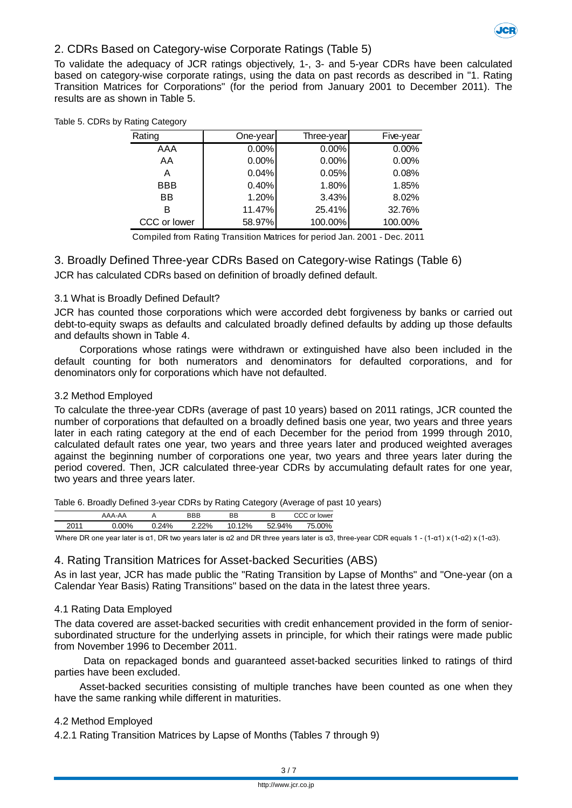

#### 2. CDRs Based on Category-wise Corporate Ratings (Table 5)

To validate the adequacy of JCR ratings objectively, 1-, 3- and 5-year CDRs have been calculated based on category-wise corporate ratings, using the data on past records as described in "1. Rating Transition Matrices for Corporations" (for the period from January 2001 to December 2011). The results are as shown in Table 5.

| Rating       | One-year | Three-year | Five-year |
|--------------|----------|------------|-----------|
| AAA          | 0.00%    | 0.00%      | 0.00%     |
| AA           | 0.00%    | 0.00%      | 0.00%     |
| A            | 0.04%    | 0.05%      | 0.08%     |
| <b>BBB</b>   | 0.40%    | 1.80%      | 1.85%     |
| <b>BB</b>    | 1.20%    | 3.43%      | 8.02%     |
| в            | 11.47%   | 25.41%     | 32.76%    |
| CCC or lower | 58.97%   | 100.00%    | 100.00%   |

#### Table 5. CDRs by Rating Category

Compiled from Rating Transition Matrices for period Jan. 2001 - Dec. 2011

3. Broadly Defined Three-year CDRs Based on Category-wise Ratings (Table 6) JCR has calculated CDRs based on definition of broadly defined default.

#### 3.1 What is Broadly Defined Default?

JCR has counted those corporations which were accorded debt forgiveness by banks or carried out debt-to-equity swaps as defaults and calculated broadly defined defaults by adding up those defaults and defaults shown in Table 4.

Corporations whose ratings were withdrawn or extinguished have also been included in the default counting for both numerators and denominators for defaulted corporations, and for denominators only for corporations which have not defaulted.

#### 3.2 Method Employed

To calculate the three-year CDRs (average of past 10 years) based on 2011 ratings, JCR counted the number of corporations that defaulted on a broadly defined basis one year, two years and three years later in each rating category at the end of each December for the period from 1999 through 2010, calculated default rates one year, two years and three years later and produced weighted averages against the beginning number of corporations one year, two years and three years later during the period covered. Then, JCR calculated three-year CDRs by accumulating default rates for one year, two years and three years later.

Table 6. Broadly Defined 3-year CDRs by Rating Category (Average of past 10 years)

|      |     | -  | <b>DDD</b> | <b>BB</b> | В   | ower |
|------|-----|----|------------|-----------|-----|------|
| nn1. | ،00 | 4% | 22%        | 2%        | ገ4% | 0%   |

Where DR one year later is α1, DR two years later is α2 and DR three years later is α3, three-year CDR equals 1 - (1-α1) x (1-α2) x (1-α3).

#### 4. Rating Transition Matrices for Asset-backed Securities (ABS)

As in last year, JCR has made public the "Rating Transition by Lapse of Months" and "One-year (on a Calendar Year Basis) Rating Transitions" based on the data in the latest three years.

#### 4.1 Rating Data Employed

The data covered are asset-backed securities with credit enhancement provided in the form of seniorsubordinated structure for the underlying assets in principle, for which their ratings were made public from November 1996 to December 2011.

Data on repackaged bonds and guaranteed asset-backed securities linked to ratings of third parties have been excluded.

Asset-backed securities consisting of multiple tranches have been counted as one when they have the same ranking while different in maturities.

#### 4.2 Method Employed

4.2.1 Rating Transition Matrices by Lapse of Months (Tables 7 through 9)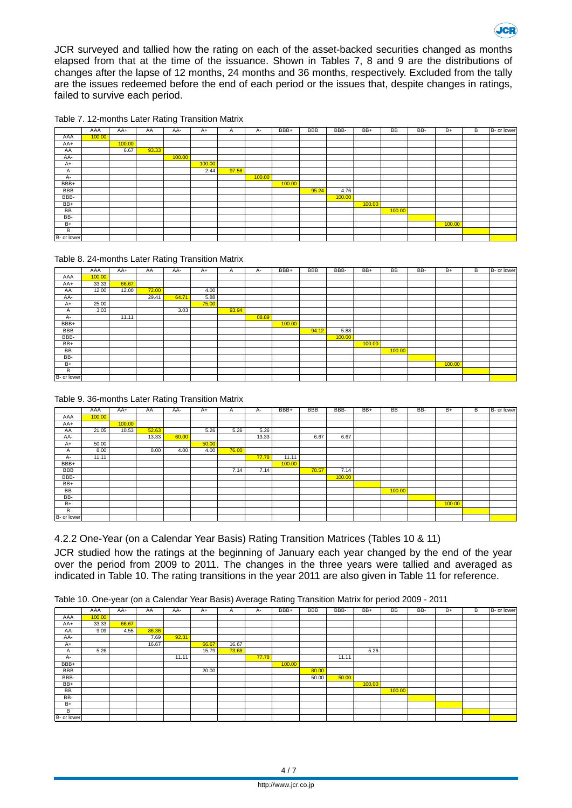

ICD

|  |  |  |  | Table 7. 12-months Later Rating Transition Matrix |  |
|--|--|--|--|---------------------------------------------------|--|
|--|--|--|--|---------------------------------------------------|--|

|             | AAA    | AA+    | AA    | AA-    | $A+$   | Α     | A-     | BBB+   | <b>BBB</b> | BBB-   | BB+    | <b>BB</b> | BB- | $B+$   | B | B- or lower |
|-------------|--------|--------|-------|--------|--------|-------|--------|--------|------------|--------|--------|-----------|-----|--------|---|-------------|
| AAA         | 100.00 |        |       |        |        |       |        |        |            |        |        |           |     |        |   |             |
| AA+         |        | 100.00 |       |        |        |       |        |        |            |        |        |           |     |        |   |             |
| AA          |        | 6.67   | 93.33 |        |        |       |        |        |            |        |        |           |     |        |   |             |
| AA-         |        |        |       | 100.00 |        |       |        |        |            |        |        |           |     |        |   |             |
| $A+$        |        |        |       |        | 100.00 |       |        |        |            |        |        |           |     |        |   |             |
| Α           |        |        |       |        | 2.44   | 97.56 |        |        |            |        |        |           |     |        |   |             |
| A-          |        |        |       |        |        |       | 100.00 |        |            |        |        |           |     |        |   |             |
| BBB+        |        |        |       |        |        |       |        | 100.00 |            |        |        |           |     |        |   |             |
| <b>BBB</b>  |        |        |       |        |        |       |        |        | 95.24      | 4.76   |        |           |     |        |   |             |
| BBB-        |        |        |       |        |        |       |        |        |            | 100.00 |        |           |     |        |   |             |
| BB+         |        |        |       |        |        |       |        |        |            |        | 100.00 |           |     |        |   |             |
| BB          |        |        |       |        |        |       |        |        |            |        |        | 100.00    |     |        |   |             |
| BB-         |        |        |       |        |        |       |        |        |            |        |        |           |     |        |   |             |
| $B+$        |        |        |       |        |        |       |        |        |            |        |        |           |     | 100.00 |   |             |
| В           |        |        |       |        |        |       |        |        |            |        |        |           |     |        |   |             |
| B- or lower |        |        |       |        |        |       |        |        |            |        |        |           |     |        |   |             |

#### Table 8. 24-months Later Rating Transition Matrix

|              | AAA    | AA+   | AA    | AA-   | $A+$  | $\mathsf{A}$ | A-    | BBB+   | <b>BBB</b> | BBB-   | $BB+$  | <b>BB</b> | BB- | $B+$   | В | B- or lower |
|--------------|--------|-------|-------|-------|-------|--------------|-------|--------|------------|--------|--------|-----------|-----|--------|---|-------------|
| AAA          | 100.00 |       |       |       |       |              |       |        |            |        |        |           |     |        |   |             |
| AA+          | 33.33  | 66.67 |       |       |       |              |       |        |            |        |        |           |     |        |   |             |
| AA           | 12.00  | 12.00 | 72.00 |       | 4.00  |              |       |        |            |        |        |           |     |        |   |             |
| AA-          |        |       | 29.41 | 64.71 | 5.88  |              |       |        |            |        |        |           |     |        |   |             |
| $A+$         | 25.00  |       |       |       | 75.00 |              |       |        |            |        |        |           |     |        |   |             |
| $\mathsf{A}$ | 3.03   |       |       | 3.03  |       | 93.94        |       |        |            |        |        |           |     |        |   |             |
| A-           |        | 11.11 |       |       |       |              | 88.89 |        |            |        |        |           |     |        |   |             |
| BBB+         |        |       |       |       |       |              |       | 100.00 |            |        |        |           |     |        |   |             |
| <b>BBB</b>   |        |       |       |       |       |              |       |        | 94.12      | 5.88   |        |           |     |        |   |             |
| BBB-         |        |       |       |       |       |              |       |        |            | 100.00 |        |           |     |        |   |             |
| BB+          |        |       |       |       |       |              |       |        |            |        | 100.00 |           |     |        |   |             |
| BB           |        |       |       |       |       |              |       |        |            |        |        | 100.00    |     |        |   |             |
| BB-          |        |       |       |       |       |              |       |        |            |        |        |           |     |        |   |             |
| $B+$         |        |       |       |       |       |              |       |        |            |        |        |           |     | 100.00 |   |             |
| B            |        |       |       |       |       |              |       |        |            |        |        |           |     |        |   |             |
| B- or lower  |        |       |       |       |       |              |       |        |            |        |        |           |     |        |   |             |

#### Table 9. 36-months Later Rating Transition Matrix

|              | AAA    | $AA+$  | AA    | AA-   | $A+$  | A     | A-    | BBB+   | <b>BBB</b> | BBB-   | BB+ | <b>BB</b> | BB- | $B+$   | В | B- or lower |
|--------------|--------|--------|-------|-------|-------|-------|-------|--------|------------|--------|-----|-----------|-----|--------|---|-------------|
| AAA          | 100.00 |        |       |       |       |       |       |        |            |        |     |           |     |        |   |             |
| AA+          |        | 100.00 |       |       |       |       |       |        |            |        |     |           |     |        |   |             |
| AA           | 21.05  | 10.53  | 52.63 |       | 5.26  | 5.26  | 5.26  |        |            |        |     |           |     |        |   |             |
| AA-          |        |        | 13.33 | 60.00 |       |       | 13.33 |        | 6.67       | 6.67   |     |           |     |        |   |             |
| $A+$         | 50.00  |        |       |       | 50.00 |       |       |        |            |        |     |           |     |        |   |             |
| $\mathsf{A}$ | 8.00   |        | 8.00  | 4.00  | 4.00  | 76.00 |       |        |            |        |     |           |     |        |   |             |
| A-           | 11.11  |        |       |       |       |       | 77.78 | 11.11  |            |        |     |           |     |        |   |             |
| BBB+         |        |        |       |       |       |       |       | 100.00 |            |        |     |           |     |        |   |             |
| BBB          |        |        |       |       |       | 7.14  | 7.14  |        | 78.57      | 7.14   |     |           |     |        |   |             |
| BBB-         |        |        |       |       |       |       |       |        |            | 100.00 |     |           |     |        |   |             |
| BB+          |        |        |       |       |       |       |       |        |            |        |     |           |     |        |   |             |
| BB           |        |        |       |       |       |       |       |        |            |        |     | 100.00    |     |        |   |             |
| BB-          |        |        |       |       |       |       |       |        |            |        |     |           |     |        |   |             |
| $B+$         |        |        |       |       |       |       |       |        |            |        |     |           |     | 100.00 |   |             |
| B            |        |        |       |       |       |       |       |        |            |        |     |           |     |        |   |             |
| B- or lower  |        |        |       |       |       |       |       |        |            |        |     |           |     |        |   |             |

#### 4.2.2 One-Year (on a Calendar Year Basis) Rating Transition Matrices (Tables 10 & 11)

JCR studied how the ratings at the beginning of January each year changed by the end of the year over the period from 2009 to 2011. The changes in the three years were tallied and averaged as indicated in Table 10. The rating transitions in the year 2011 are also given in Table 11 for reference.

Table 10. One-year (on a Calendar Year Basis) Average Rating Transition Matrix for period 2009 - 2011

|             | AAA    | $AA+$ | AA.   | AA-   | A+    | $\mathsf{A}$ | A-    | BBB+   | <b>BBB</b> | BBB-  | BB+    | <b>BB</b> | BB- | $B+$ | B | B- or lower |
|-------------|--------|-------|-------|-------|-------|--------------|-------|--------|------------|-------|--------|-----------|-----|------|---|-------------|
| AAA         | 100.00 |       |       |       |       |              |       |        |            |       |        |           |     |      |   |             |
|             |        |       |       |       |       |              |       |        |            |       |        |           |     |      |   |             |
| AA+         | 33.33  | 66.67 |       |       |       |              |       |        |            |       |        |           |     |      |   |             |
| AA          | 9.09   | 4.55  | 86.36 |       |       |              |       |        |            |       |        |           |     |      |   |             |
| AA-         |        |       | 7.69  | 92.31 |       |              |       |        |            |       |        |           |     |      |   |             |
| $A+$        |        |       | 16.67 |       | 66.67 | 16.67        |       |        |            |       |        |           |     |      |   |             |
| A           | 5.26   |       |       |       | 15.79 | 73.68        |       |        |            |       | 5.26   |           |     |      |   |             |
| $A -$       |        |       |       | 11.11 |       |              | 77.78 |        |            | 11.11 |        |           |     |      |   |             |
| BBB+        |        |       |       |       |       |              |       | 100.00 |            |       |        |           |     |      |   |             |
| BBB         |        |       |       |       | 20.00 |              |       |        | 80.00      |       |        |           |     |      |   |             |
| BBB-        |        |       |       |       |       |              |       |        | 50.00      | 50.00 |        |           |     |      |   |             |
| BB+         |        |       |       |       |       |              |       |        |            |       | 100.00 |           |     |      |   |             |
| <b>BB</b>   |        |       |       |       |       |              |       |        |            |       |        | 100.00    |     |      |   |             |
| BB-         |        |       |       |       |       |              |       |        |            |       |        |           |     |      |   |             |
| $B+$        |        |       |       |       |       |              |       |        |            |       |        |           |     |      |   |             |
| B           |        |       |       |       |       |              |       |        |            |       |        |           |     |      |   |             |
| B- or lower |        |       |       |       |       |              |       |        |            |       |        |           |     |      |   |             |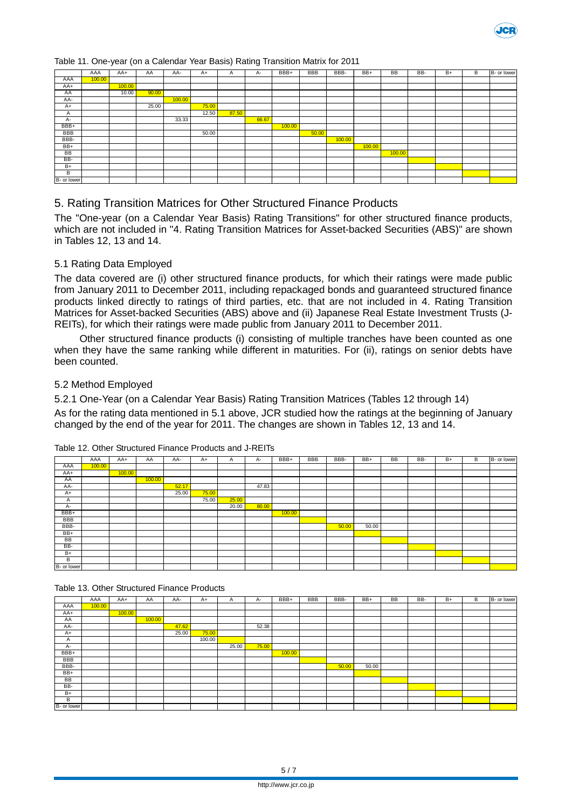

Table 11. One-year (on a Calendar Year Basis) Rating Transition Matrix for 2011

|             | AAA    | AA+    | AA    | AA-    | $A+$  | A     | А-    | BBB+   | <b>BBB</b> | BBB-   | BB+    | <b>BB</b> | BB- | $B +$ | В | B- or lower |
|-------------|--------|--------|-------|--------|-------|-------|-------|--------|------------|--------|--------|-----------|-----|-------|---|-------------|
| AAA         | 100.00 |        |       |        |       |       |       |        |            |        |        |           |     |       |   |             |
| AA+         |        | 100.00 |       |        |       |       |       |        |            |        |        |           |     |       |   |             |
| AA          |        | 10.00  | 90.00 |        |       |       |       |        |            |        |        |           |     |       |   |             |
| AA-         |        |        |       | 100.00 |       |       |       |        |            |        |        |           |     |       |   |             |
| $A+$        |        |        | 25.00 |        | 75.00 |       |       |        |            |        |        |           |     |       |   |             |
| A           |        |        |       |        | 12.50 | 87.50 |       |        |            |        |        |           |     |       |   |             |
| A-          |        |        |       | 33.33  |       |       | 66.67 |        |            |        |        |           |     |       |   |             |
| BBB+        |        |        |       |        |       |       |       | 100.00 |            |        |        |           |     |       |   |             |
| BBB         |        |        |       |        | 50.00 |       |       |        | 50.00      |        |        |           |     |       |   |             |
| BBB-        |        |        |       |        |       |       |       |        |            | 100.00 |        |           |     |       |   |             |
| BB+         |        |        |       |        |       |       |       |        |            |        | 100.00 |           |     |       |   |             |
| BB          |        |        |       |        |       |       |       |        |            |        |        | 100.00    |     |       |   |             |
| BB-         |        |        |       |        |       |       |       |        |            |        |        |           |     |       |   |             |
| $B+$        |        |        |       |        |       |       |       |        |            |        |        |           |     |       |   |             |
| B           |        |        |       |        |       |       |       |        |            |        |        |           |     |       |   |             |
| B- or lower |        |        |       |        |       |       |       |        |            |        |        |           |     |       |   |             |

#### 5. Rating Transition Matrices for Other Structured Finance Products

The "One-year (on a Calendar Year Basis) Rating Transitions" for other structured finance products, which are not included in "4. Rating Transition Matrices for Asset-backed Securities (ABS)" are shown in Tables 12, 13 and 14.

#### 5.1 Rating Data Employed

The data covered are (i) other structured finance products, for which their ratings were made public from January 2011 to December 2011, including repackaged bonds and guaranteed structured finance products linked directly to ratings of third parties, etc. that are not included in 4. Rating Transition Matrices for Asset-backed Securities (ABS) above and (ii) Japanese Real Estate Investment Trusts (J-REITs), for which their ratings were made public from January 2011 to December 2011.

Other structured finance products (i) consisting of multiple tranches have been counted as one when they have the same ranking while different in maturities. For (ii), ratings on senior debts have been counted.

#### 5.2 Method Employed

5.2.1 One-Year (on a Calendar Year Basis) Rating Transition Matrices (Tables 12 through 14) As for the rating data mentioned in 5.1 above, JCR studied how the ratings at the beginning of January changed by the end of the year for 2011. The changes are shown in Tables 12, 13 and 14.

|             | AAA    | AA+    | AA     | AA-   | $A+$  | $\mathsf{A}$ | $A -$ | BBB+   | <b>BBB</b> | BBB-  | BB+   | <b>BB</b> | BB- | $B+$ | В | B- or lower |
|-------------|--------|--------|--------|-------|-------|--------------|-------|--------|------------|-------|-------|-----------|-----|------|---|-------------|
| AAA         | 100.00 |        |        |       |       |              |       |        |            |       |       |           |     |      |   |             |
| AA+         |        | 100.00 |        |       |       |              |       |        |            |       |       |           |     |      |   |             |
| AA          |        |        | 100.00 |       |       |              |       |        |            |       |       |           |     |      |   |             |
| AA-         |        |        |        | 52.17 |       |              | 47.83 |        |            |       |       |           |     |      |   |             |
| $A+$        |        |        |        | 25.00 | 75.00 |              |       |        |            |       |       |           |     |      |   |             |
| A           |        |        |        |       | 75.00 | 25.00        |       |        |            |       |       |           |     |      |   |             |
| $A -$       |        |        |        |       |       | 20.00        | 80.00 |        |            |       |       |           |     |      |   |             |
| BBB+        |        |        |        |       |       |              |       | 100.00 |            |       |       |           |     |      |   |             |
| BBB         |        |        |        |       |       |              |       |        |            |       |       |           |     |      |   |             |
| BBB-        |        |        |        |       |       |              |       |        |            | 50.00 | 50.00 |           |     |      |   |             |
| BB+         |        |        |        |       |       |              |       |        |            |       |       |           |     |      |   |             |
| BB          |        |        |        |       |       |              |       |        |            |       |       |           |     |      |   |             |
| BB-         |        |        |        |       |       |              |       |        |            |       |       |           |     |      |   |             |
| $B+$        |        |        |        |       |       |              |       |        |            |       |       |           |     |      |   |             |
| B           |        |        |        |       |       |              |       |        |            |       |       |           |     |      |   |             |
| B- or lower |        |        |        |       |       |              |       |        |            |       |       |           |     |      |   |             |

#### Table 12. Other Structured Finance Products and J-REITs

Table 13. Other Structured Finance Products

|             | AAA    | AA+    | AA     | AA-   | $A+$   | A     | A-    | BBB+   | <b>BBB</b> | BBB-  | $BB+$ | <b>BB</b> | BB- | B+ | В | B- or lower |
|-------------|--------|--------|--------|-------|--------|-------|-------|--------|------------|-------|-------|-----------|-----|----|---|-------------|
| AAA         | 100.00 |        |        |       |        |       |       |        |            |       |       |           |     |    |   |             |
| AA+         |        | 100.00 |        |       |        |       |       |        |            |       |       |           |     |    |   |             |
| AA          |        |        | 100.00 |       |        |       |       |        |            |       |       |           |     |    |   |             |
| AA-         |        |        |        | 47.62 |        |       | 52.38 |        |            |       |       |           |     |    |   |             |
| $A+$        |        |        |        | 25.00 | 75.00  |       |       |        |            |       |       |           |     |    |   |             |
| A           |        |        |        |       | 100.00 |       |       |        |            |       |       |           |     |    |   |             |
| $A -$       |        |        |        |       |        | 25.00 | 75.00 |        |            |       |       |           |     |    |   |             |
| BBB+        |        |        |        |       |        |       |       | 100.00 |            |       |       |           |     |    |   |             |
| BBB         |        |        |        |       |        |       |       |        |            |       |       |           |     |    |   |             |
| BBB-        |        |        |        |       |        |       |       |        |            | 50.00 | 50.00 |           |     |    |   |             |
| BB+         |        |        |        |       |        |       |       |        |            |       |       |           |     |    |   |             |
| <b>BB</b>   |        |        |        |       |        |       |       |        |            |       |       |           |     |    |   |             |
| BB-         |        |        |        |       |        |       |       |        |            |       |       |           |     |    |   |             |
| B+          |        |        |        |       |        |       |       |        |            |       |       |           |     |    |   |             |
| В           |        |        |        |       |        |       |       |        |            |       |       |           |     |    |   |             |
| B- or lower |        |        |        |       |        |       |       |        |            |       |       |           |     |    |   |             |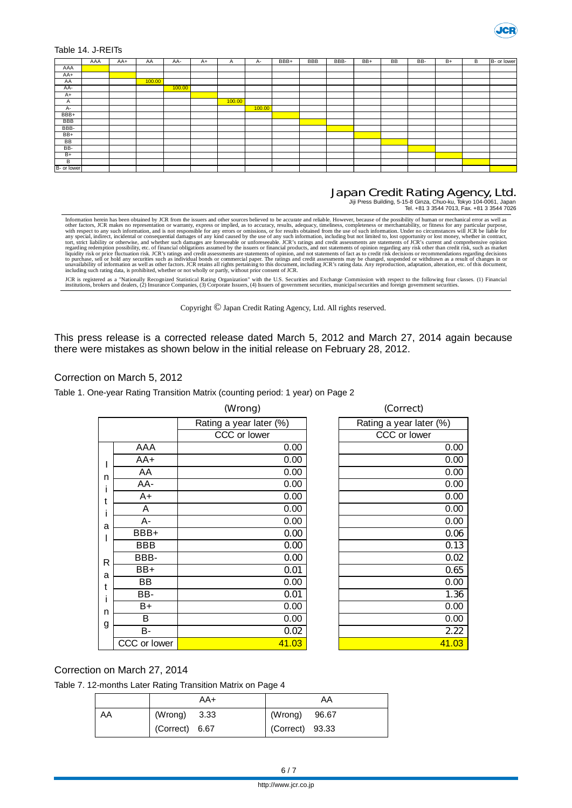

Table 14. J-REITs

|             | AAA | AA+ | AA     | AA-    | $A+$ | $\mathsf{A}$ | A-     | BBB+ | <b>BBB</b> | BBB- | $BB+$ | <b>BB</b> | BB- | $B+$ | B | B- or lower |
|-------------|-----|-----|--------|--------|------|--------------|--------|------|------------|------|-------|-----------|-----|------|---|-------------|
| AAA         |     |     |        |        |      |              |        |      |            |      |       |           |     |      |   |             |
| AA+         |     |     |        |        |      |              |        |      |            |      |       |           |     |      |   |             |
| AA          |     |     | 100.00 |        |      |              |        |      |            |      |       |           |     |      |   |             |
| AA-         |     |     |        | 100.00 |      |              |        |      |            |      |       |           |     |      |   |             |
| $A+$        |     |     |        |        |      |              |        |      |            |      |       |           |     |      |   |             |
| A           |     |     |        |        |      | 100.00       |        |      |            |      |       |           |     |      |   |             |
| A-          |     |     |        |        |      |              | 100.00 |      |            |      |       |           |     |      |   |             |
| BBB+        |     |     |        |        |      |              |        |      |            |      |       |           |     |      |   |             |
| <b>BBB</b>  |     |     |        |        |      |              |        |      |            |      |       |           |     |      |   |             |
| BBB-        |     |     |        |        |      |              |        |      |            |      |       |           |     |      |   |             |
| BB+         |     |     |        |        |      |              |        |      |            |      |       |           |     |      |   |             |
| BB          |     |     |        |        |      |              |        |      |            |      |       |           |     |      |   |             |
| BB-         |     |     |        |        |      |              |        |      |            |      |       |           |     |      |   |             |
| $B+$        |     |     |        |        |      |              |        |      |            |      |       |           |     |      |   |             |
| B           |     |     |        |        |      |              |        |      |            |      |       |           |     |      |   |             |
| B- or lower |     |     |        |        |      |              |        |      |            |      |       |           |     |      |   |             |

## Japan Credit Rating Agency, Ltd. Jiji Press Building, 5-15-8 Ginza, Chuo-ku, Tokyo 104-0061, Japan Tel. +81 3 3544 7013, Fax. +81 3 3544 7026

Information herein has been obtained by JCR from the issuers and other sources believed to be accurate and reliable. However, because of the possibility of human or mechanical error as well as<br>other factors, JCR makes no r

JCR is registered as a "Nationally Recognized Statistical Rating Organization" with the U.S. Securities and Exchange Commission with respect to the following four classes. (1) Financial<br>institutions, brokers and dealers, (

Copyright © Japan Credit Rating Agency, Ltd. All rights reserved.

This press release is a corrected release dated March 5, 2012 and March 27, 2014 again because there were mistakes as shown below in the initial release on February 28, 2012.

#### Correction on March 5, 2012

Table 1. One-year Rating Transition Matrix (counting period: 1 year) on Page 2

|              |              | (Wrong)                 | (Correct)               |
|--------------|--------------|-------------------------|-------------------------|
|              |              | Rating a year later (%) | Rating a year later (%) |
|              |              | CCC or lower            | CCC or lower            |
|              | AAA          | 0.00                    | 0.00                    |
|              | $AA+$        | 0.00                    | 0.00                    |
| ı<br>n       | AA           | 0.00                    | 0.00                    |
| i            | AA-          | 0.00                    | 0.00                    |
| t            | A+           | 0.00                    | 0.00                    |
| i            | A            | 0.00                    | 0.00                    |
| a            | A-           | 0.00                    | 0.00                    |
| I            | BBB+         | 0.00                    | 0.06                    |
|              | <b>BBB</b>   | 0.00                    | 0.13                    |
| $\mathsf{R}$ | BBB-         | 0.00                    | 0.02                    |
| a            | BB+          | 0.01                    | 0.65                    |
| t            | <b>BB</b>    | 0.00                    | 0.00                    |
| İ            | BB-          | 0.01                    | 1.36                    |
|              | B+           | 0.00                    | 0.00                    |
| n            | B            | 0.00                    | 0.00                    |
| g            | B-           | 0.02                    | 2.22                    |
|              | CCC or lower | 41.03                   | 41.03                   |
|              |              |                         |                         |

#### Correction on March 27, 2014

Table 7. 12-months Later Rating Transition Matrix on Page 4

|    | AA+            | AA              |
|----|----------------|-----------------|
| AA | (Wrong) 3.33   | (Wrong) 96.67   |
|    | (Correct) 6.67 | (Correct) 93.33 |